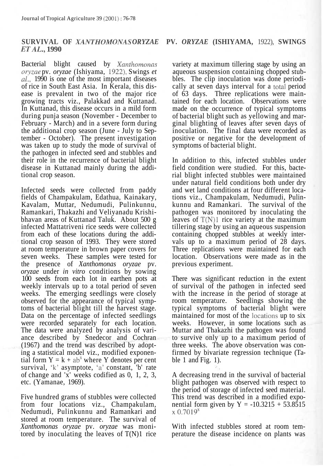## **SURVIVAL OF** *XANTHOMONAS ORYZAE* **PV.** *ORYZAE* **(ISHIYAMA,** 1922), **SWINGS** *ETAL.,* **1990**

Bacterial blight caused by *Xanthomonas oryzae* pv. *oryzae* (Ishiyama, 1922), Swings *et al.,* 1990 is one of the most important diseases of rice in South East Asia. In Kerala, this disease is prevalent in two of the major rice growing tracts viz., Palakkad and Kuttanad. In Kuttanad, this disease occurs in a mild form during punja season (November - December to February - March) and in a severe form during the additional crop season (June - July to September - October). The present investigation was taken up to study the mode of survival of the pathogen in infected seed and stubbles and their role in the recurrence of bacterial blight disease in Kuttanad mainly during the additional crop season.

Infected seeds were collected from paddy fields of Champakulam, Edathua, Kainakary, Kavalam, Muttar, Nedumudi, Pulinkunnu, Ramankari, Thakazhi and Veliyanadu Krishibhavan areas of Kuttanad Taluk. About 500 g infected Mattatriveni rice seeds were collected from each of these locations during the additional crop season of 1993. They were stored at room temperature in brown paper covers for seven weeks. These samples were tested for the presence of *Xanthomonas oryzae* pv. *oryzae* under *in vitro* conditions by sowing 100 seeds from each lot in earthen pots at weekly intervals up to a total period of seven weeks. The emerging seedlings were closely observed for the appearance of typical symptoms of bacterial blight till the harvest stage. Data on the percentage of infected seedlings were recorded separately for each location. The data were analyzed by analysis of variance described by Snedecor and Cochran (1967) and the trend was described by adopting a statistical model viz., modified exponential form  $Y = k + ab^x$  where Y denotes per cent survival, 'k' asymptote, 'a' constant, 'b' rate of change and 'x' weeks codified as 0, 1, 2, 3, etc. (Yamanae, 1969).

Five hundred grams of stubbles were collected from four locations viz., Champakulam, Nedumudi, Pulinkunnu and Ramankari and stored at room temperature. The survival of *Xanthomonas oryzae* pv. *oryzae* was monitored by inoculating the leaves of  $T(N)1$  rice variety at maximum tillering stage by using an aqueous suspension containing chopped stubbles. The clip inoculation was done periodically at seven days interval for a total period of 63 days. Three replications were maintained for each location. Observations were made on the occurrence of typical symptoms of bacterial blight such as yellowing and marginal blighting of leaves after seven days of inoculation. The final data were recorded as positive or negative for the development of symptoms of bacterial blight.

In addition to this, infected stubbles under field condition were studied. For this, bacterial blight infected stubbles were maintained under natural field conditions both under dry and wet land conditions at four different locations viz., Champakulam, Nedumudi, Pulinkunnu and Ramankari. The survival of the pathogen was monitored by inoculating the leaves of  $T(N)1$  rice variety at the maximum tillering stage by using an aqueous suspension containing chopped stubbles at weekly intervals up to a maximum period of 28 days. Three replications were maintained for each location. Observations were made as in the previous experiment.

There was significant reduction in the extent of survival of the pathogen in infected seed with the increase in the period of storage at room temperature. Seedlings showing the typical symptoms of bacterial blight were maintained for most of the locations up to six weeks. However, in some locations such as Muttar and Thakazhi the pathogen was found to survive only up to a maximum period of three weeks. The above observation was confirmed by bivariate regression technique (Table 1 and Fig.  $1$ ).

A decreasing trend in the survival of bacterial blight pathogen was observed with respect to the period of storage of infected seed material. This trend was described in a modified exponential form given by  $Y = -10.3215 + 53.8515$  $x\ 0.7019^{x}$ 

With infected stubbles stored at room temperature the disease incidence on plants was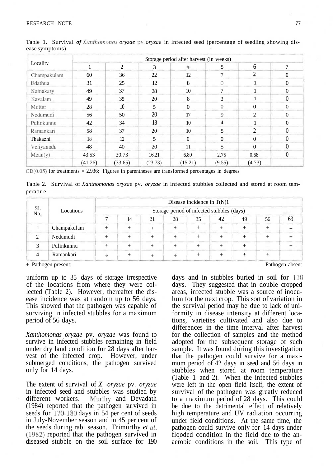## RESEARCH NOTE 77

|             | Storage period after harvest (in weeks) |                |         |                |                             |                |                  |  |  |  |
|-------------|-----------------------------------------|----------------|---------|----------------|-----------------------------|----------------|------------------|--|--|--|
| Locality    |                                         | $\overline{2}$ | 3       | $\overline{4}$ | 5                           | 6              | 7                |  |  |  |
| Champakulam | 60                                      | 36             | 22      | 12             | $\mathcal{L}_{\mathcal{L}}$ | 2              | $\mathbf{0}$     |  |  |  |
| Edathua     | 31                                      | 25             | 12      | 8              | 0                           |                | $\mathbf{0}$     |  |  |  |
| Kainakary   | 49                                      | 37             | 28      | 10             | 7                           |                | $\mathbf{0}$     |  |  |  |
| Kavalam     | 49                                      | 35             | 20      | 8              | 3                           |                | $\theta$         |  |  |  |
| Muttar      | 28                                      | 10             | 5       | $\overline{0}$ | $\theta$                    | $\theta$       | $\mathbf{0}$     |  |  |  |
| Nedumudi    | 56                                      | 50             | 20      | 17             | 9                           | 2              | $\mathbf{0}$     |  |  |  |
| Pulinkunnu  | 42                                      | 34             | 18      | 10             | 4                           |                | $\mathbf{0}$     |  |  |  |
| Ramankari   | 58                                      | 37             | 20      | 10             | 5                           | $\overline{2}$ | $\theta$         |  |  |  |
| Thakazhi    | 18                                      | 12             | 5       | $\overline{0}$ | $\theta$                    | $\Omega$       | $\boldsymbol{0}$ |  |  |  |
| Veliyanadu  | 48                                      | 40             | 20      | 11             | 5                           | $\Omega$       | $\theta$         |  |  |  |
| Mean(y)     | 43.53                                   | 30.73          | 16.21   | 6.89           | 2.75                        | 0.68           | $\boldsymbol{0}$ |  |  |  |
|             | (41.26)                                 | (33.65)        | (23.73) | (15.21)        | (9.55)                      | (4.73)         |                  |  |  |  |

Table 1. Survival *of Xanthomonas oryzae* pv. *oryzae* in infected seed (percentage of seedling showing disease symptoms)

 $CD(0.05)$  for treatments = 2.936; Figures in parentheses are transformed percentages in degrees

Table 2. Survival of *Xanthomonas oryzae* pv. *oryzae* in infected stubbles collected and stored at room temperature

|            | Locations   | Disease incidence in $T(N)1$               |    |    |    |    |    |    |    |    |  |
|------------|-------------|--------------------------------------------|----|----|----|----|----|----|----|----|--|
| Sl.<br>No. |             | Storage period of infected stubbles (days) |    |    |    |    |    |    |    |    |  |
|            |             |                                            | 14 | 21 | 28 | 35 | 42 | 49 | 56 | 63 |  |
|            | Champakulam |                                            |    |    |    |    |    |    |    |    |  |
|            | Nedumudi    |                                            |    |    |    |    |    |    |    |    |  |
|            | Pulinkunnu  |                                            |    |    |    |    |    |    |    |    |  |
|            | Ramankari   |                                            |    |    |    |    |    |    |    |    |  |

+ Pathogen present;

uniform up to 35 days of storage irrespective of the locations from where they were collected (Table 2). However, thereafter the disease incidence was at random up to 56 days. This showed that the pathogen was capable of surviving in infected stubbles for a maximum period of 56 days.

*Xanthomonas oryzae* pv. *oryzae* was found to survive in infected stubbles remaining in field under dry land condition for 28 days after harvest of the infected crop. However, under submerged conditions, the pathogen survived only for 14 days.

The extent of survival of *X. oryzae* pv. *oryzae* in infected seed and stubbles was studied by different workers. Murthy and Devadath (1984) reported that the pathogen survived in seeds for 170-180 days in 54 per cent of seeds in July-November season and in 45 per cent of the seeds during rabi season. Trimurthy *et al.* (1982) reported that the pathogen survived in diseased stubble on the soil surface for 190 - Pathogen absent

days and in stubbles buried in soil for 110 days. They suggested that in double cropped areas, infected stubble was a source of inoculum for the next crop. This sort of variation in the survival period may be due to lack of uniformity in disease intensity at different locations, varieties cultivated and also due to differences in the time interval after harvest for the collection of samples and the method adopted for the subsequent storage of such sample. It was found during this investigation that the pathogen could survive for a maximum period of 42 days in seed and 56 days in stubbles when stored at room temperature (Table 1 and 2). When the infected stubbles were left in the open field itself, the extent of survival of the pathogen was greatly reduced to a maximum period of 28 days. This could be due to the detrimental effect of relatively high temperature and UV radiation occurring under field conditions. At the same time, the pathogen could survive only for 14 days under flooded condition in the field due to the anaerobic conditions in the soil. This type of